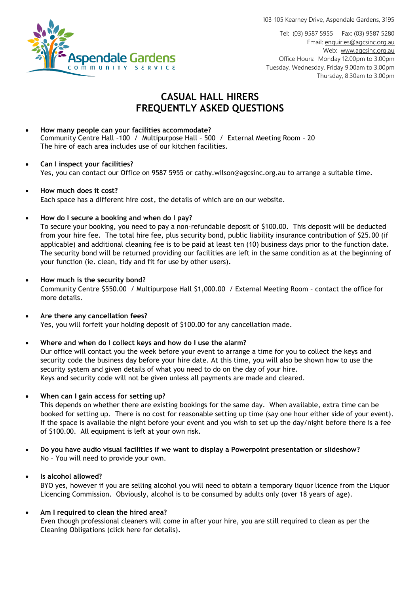103-105 Kearney Drive, Aspendale Gardens, 3195



Tel: (03) 9587 5955 Fax: (03) 9587 5280 Email[: enquiries@agcsinc.org.au](mailto:enquiries@agcsinc.org.au) Web: [www.agcsinc.org.au](http://www.agcsinc.org.au/) Office Hours: Monday 12.00pm to 3.00pm Tuesday, Wednesday, Friday 9.00am to 3.00pm Thursday, 8.30am to 3.00pm

# **CASUAL HALL HIRERS FREQUENTLY ASKED QUESTIONS**

• **How many people can your facilities accommodate?** Community Centre Hall –100 / Multipurpose Hall – 500 / External Meeting Room – 20 The hire of each area includes use of our kitchen facilities.

## • **Can I inspect your facilities?** Yes, you can contact our Office on 9587 5955 or cathy.wilson@agcsinc.org.au to arrange a suitable time.

#### • **How much does it cost?**  Each space has a different hire cost, the details of which are on our website.

# • **How do I secure a booking and when do I pay?**

To secure your booking, you need to pay a non-refundable deposit of \$100.00. This deposit will be deducted from your hire fee. The total hire fee, plus security bond, public liability insurance contribution of \$25.00 (if applicable) and additional cleaning fee is to be paid at least ten (10) business days prior to the function date. The security bond will be returned providing our facilities are left in the same condition as at the beginning of your function (ie. clean, tidy and fit for use by other users).

# • **How much is the security bond?**

Community Centre \$550.00 / Multipurpose Hall \$1,000.00 / External Meeting Room – contact the office for more details.

• **Are there any cancellation fees?** Yes, you will forfeit your holding deposit of \$100.00 for any cancellation made.

## • **Where and when do I collect keys and how do I use the alarm?**

Our office will contact you the week before your event to arrange a time for you to collect the keys and security code the business day before your hire date. At this time, you will also be shown how to use the security system and given details of what you need to do on the day of your hire. Keys and security code will not be given unless all payments are made and cleared.

• **When can I gain access for setting up?**

This depends on whether there are existing bookings for the same day. When available, extra time can be booked for setting up. There is no cost for reasonable setting up time (say one hour either side of your event). If the space is available the night before your event and you wish to set up the day/night before there is a fee of \$100.00. All equipment is left at your own risk.

• **Do you have audio visual facilities if we want to display a Powerpoint presentation or slideshow?** No – You will need to provide your own.

• **Is alcohol allowed?**

BYO yes, however if you are selling alcohol you will need to obtain a temporary liquor licence from the Liquor Licencing Commission. Obviously, alcohol is to be consumed by adults only (over 18 years of age).

# • **Am I required to clean the hired area?**

Even though professional cleaners will come in after your hire, you are still required to clean as per the Cleaning Obligations (click here for details).